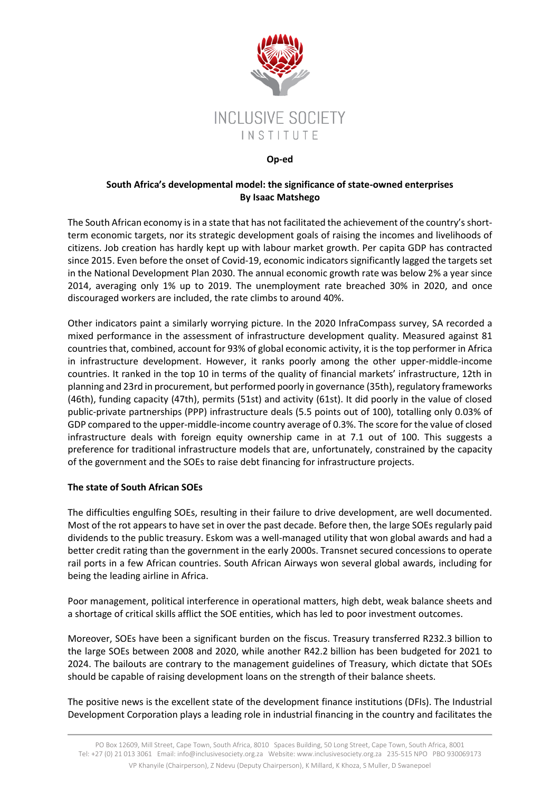

### **Op-ed**

# **South Africa's developmental model: the significance of state-owned enterprises By Isaac Matshego**

The South African economy is in a state that has not facilitated the achievement of the country's shortterm economic targets, nor its strategic development goals of raising the incomes and livelihoods of citizens. Job creation has hardly kept up with labour market growth. Per capita GDP has contracted since 2015. Even before the onset of Covid-19, economic indicators significantly lagged the targets set in the National Development Plan 2030. The annual economic growth rate was below 2% a year since 2014, averaging only 1% up to 2019. The unemployment rate breached 30% in 2020, and once discouraged workers are included, the rate climbs to around 40%.

Other indicators paint a similarly worrying picture. In the 2020 InfraCompass survey, SA recorded a mixed performance in the assessment of infrastructure development quality. Measured against 81 countries that, combined, account for 93% of global economic activity, it is the top performer in Africa in infrastructure development. However, it ranks poorly among the other upper-middle-income countries. It ranked in the top 10 in terms of the quality of financial markets' infrastructure, 12th in planning and 23rd in procurement, but performed poorly in governance (35th), regulatory frameworks (46th), funding capacity (47th), permits (51st) and activity (61st). It did poorly in the value of closed public-private partnerships (PPP) infrastructure deals (5.5 points out of 100), totalling only 0.03% of GDP compared to the upper-middle-income country average of 0.3%. The score for the value of closed infrastructure deals with foreign equity ownership came in at 7.1 out of 100. This suggests a preference for traditional infrastructure models that are, unfortunately, constrained by the capacity of the government and the SOEs to raise debt financing for infrastructure projects.

## **The state of South African SOEs**

The difficulties engulfing SOEs, resulting in their failure to drive development, are well documented. Most of the rot appears to have set in over the past decade. Before then, the large SOEs regularly paid dividends to the public treasury. Eskom was a well-managed utility that won global awards and had a better credit rating than the government in the early 2000s. Transnet secured concessions to operate rail ports in a few African countries. South African Airways won several global awards, including for being the leading airline in Africa.

Poor management, political interference in operational matters, high debt, weak balance sheets and a shortage of critical skills afflict the SOE entities, which has led to poor investment outcomes.

Moreover, SOEs have been a significant burden on the fiscus. Treasury transferred R232.3 billion to the large SOEs between 2008 and 2020, while another R42.2 billion has been budgeted for 2021 to 2024. The bailouts are contrary to the management guidelines of Treasury, which dictate that SOEs should be capable of raising development loans on the strength of their balance sheets.

The positive news is the excellent state of the development finance institutions (DFIs). The Industrial Development Corporation plays a leading role in industrial financing in the country and facilitates the